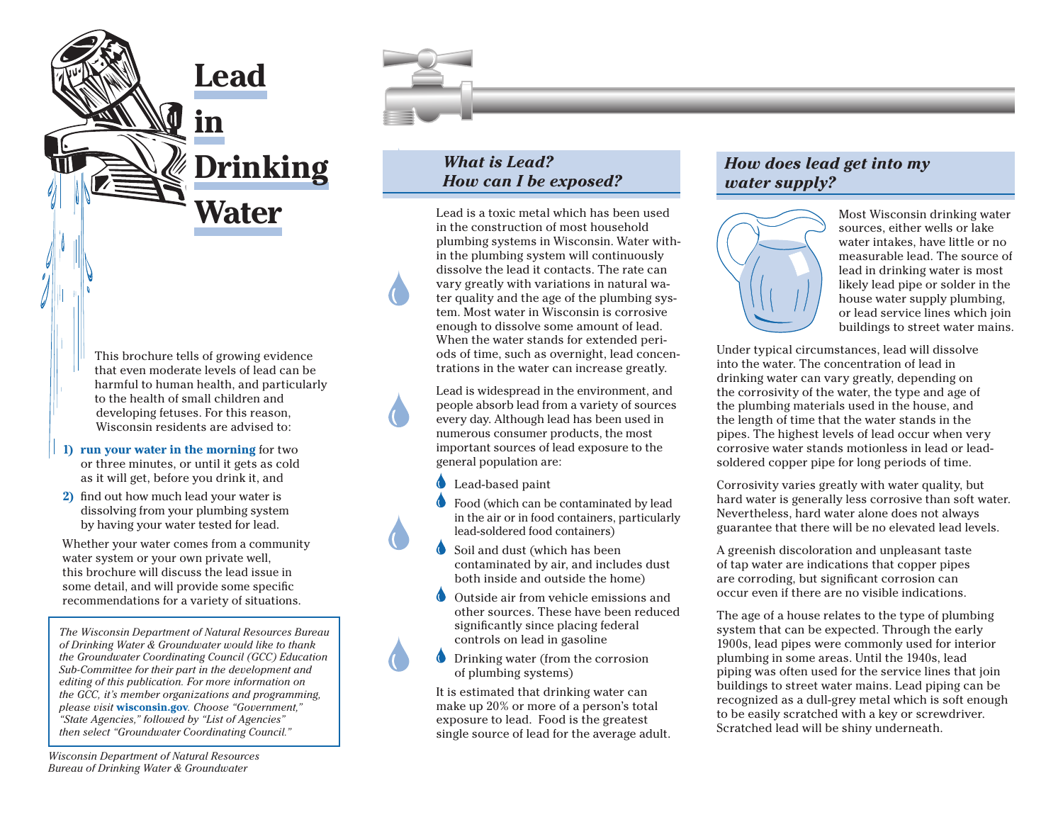

This brochure tells of growing evidence that even moderate levels of lead can be harmful to human health, and particularly to the health of small children and developing fetuses. For this reason, Wisconsin residents are advised to:

- **1) run your water in the morning** for two or three minutes, or until it gets as cold as it will get, before you drink it, and
- **2)** find out how much lead your water is dissolving from your plumbing system by having your water tested for lead.

Whether your water comes from a community water system or your own private well, this brochure will discuss the lead issue in some detail, and will provide some specific recommendations for a variety of situations.

*The Wisconsin Department of Natural Resources Bureau of Drinking Water & Groundwater would like to thank the Groundwater Coordinating Council (GCC) Education Sub-Committee for their part in the development and editing of this publication. For more information on the GCC, it's member organizations and programming, please visit* **<wisconsin.gov>***. Choose "Government," "State Agencies," followed by "List of Agencies" then select "Groundwater Coordinating Council."*

*Wisconsin Department of Natural Resources Bureau of Drinking Water & Groundwater*

## *What is Lead? How can I be exposed?*

Lead is a toxic metal which has been used in the construction of most household plumbing systems in Wisconsin. Water within the plumbing system will continuously dissolve the lead it contacts. The rate can vary greatly with variations in natural water quality and the age of the plumbing system. Most water in Wisconsin is corrosive enough to dissolve some amount of lead. When the water stands for extended periods of time, such as overnight, lead concentrations in the water can increase greatly.

Lead is widespread in the environment, and people absorb lead from a variety of sources every day. Although lead has been used in numerous consumer products, the most important sources of lead exposure to the general population are:

- Lead-based paint
- Food (which can be contaminated by lead in the air or in food containers, particularly lead-soldered food containers)
- Soil and dust (which has been contaminated by air, and includes dust both inside and outside the home)
- Outside air from vehicle emissions and other sources. These have been reduced significantly since placing federal controls on lead in gasoline
- Drinking water (from the corrosion of plumbing systems)

It is estimated that drinking water can make up 20% or more of a person's total exposure to lead. Food is the greatest single source of lead for the average adult.

# *How does lead get into my water supply?*



Most Wisconsin drinking water sources, either wells or lake water intakes, have little or no measurable lead. The source of lead in drinking water is most likely lead pipe or solder in the house water supply plumbing, or lead service lines which join buildings to street water mains.

Under typical circumstances, lead will dissolve into the water. The concentration of lead in drinking water can vary greatly, depending on the corrosivity of the water, the type and age of the plumbing materials used in the house, and the length of time that the water stands in the pipes. The highest levels of lead occur when very corrosive water stands motionless in lead or leadsoldered copper pipe for long periods of time.

Corrosivity varies greatly with water quality, but hard water is generally less corrosive than soft water. Nevertheless, hard water alone does not always guarantee that there will be no elevated lead levels.

A greenish discoloration and unpleasant taste of tap water are indications that copper pipes are corroding, but significant corrosion can occur even if there are no visible indications.

The age of a house relates to the type of plumbing system that can be expected. Through the early 1900s, lead pipes were commonly used for interior plumbing in some areas. Until the 1940s, lead piping was often used for the service lines that join buildings to street water mains. Lead piping can be recognized as a dull-grey metal which is soft enough to be easily scratched with a key or screwdriver. Scratched lead will be shiny underneath.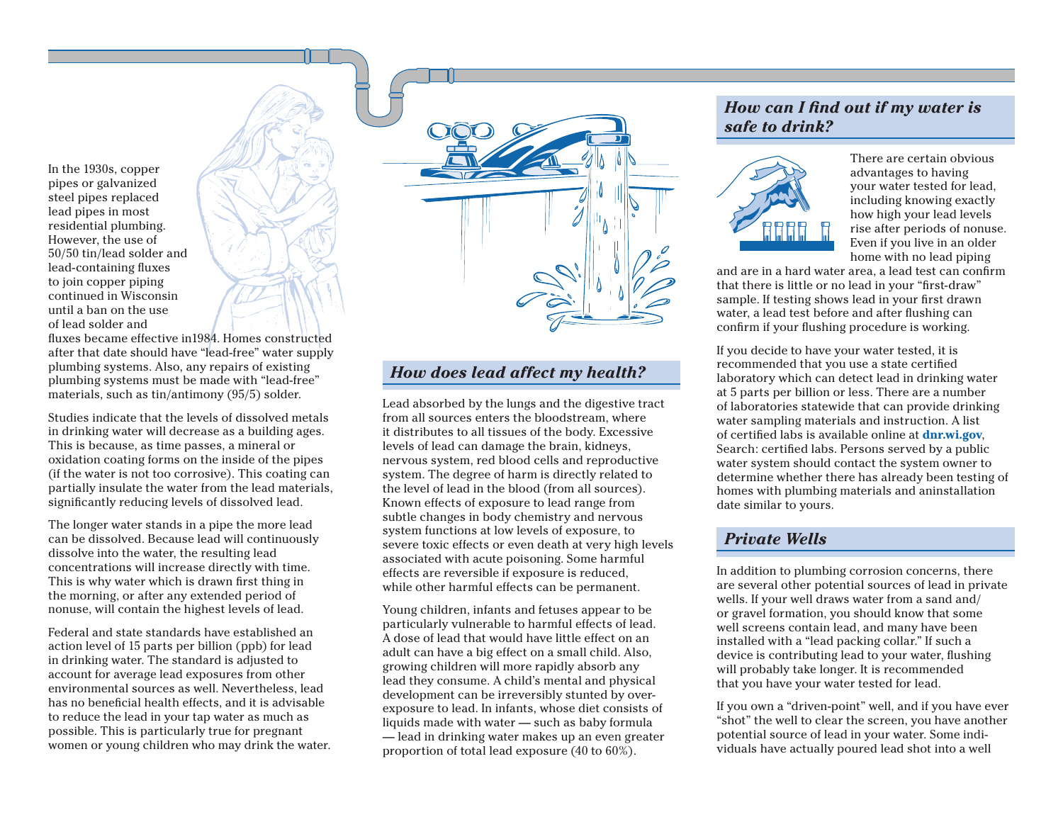In the 1930s, copper pipes or galvanized steel pipes replaced lead pipes in most residential plumbing. However, the use of 50/50 tin/lead solder and lead-containing fluxes to join copper piping continued in Wisconsin until a ban on the use of lead solder and

fluxes became effective in1984. Homes constructed after that date should have "lead-free" water supply plumbing systems. Also, any repairs of existing plumbing systems must be made with "lead-free" materials, such as tin/antimony (95/5) solder.

Studies indicate that the levels of dissolved metals in drinking water will decrease as a building ages. This is because, as time passes, a mineral or oxidation coating forms on the inside of the pipes (if the water is not too corrosive). This coating can partially insulate the water from the lead materials, significantly reducing levels of dissolved lead.

The longer water stands in a pipe the more lead can be dissolved. Because lead will continuously dissolve into the water, the resulting lead concentrations will increase directly with time. This is why water which is drawn first thing in the morning, or after any extended period of nonuse, will contain the highest levels of lead.

Federal and state standards have established an action level of 15 parts per billion (ppb) for lead in drinking water. The standard is adjusted to account for average lead exposures from other environmental sources as well. Nevertheless, lead has no beneficial health effects, and it is advisable to reduce the lead in your tap water as much as possible. This is particularly true for pregnant women or young children who may drink the water.

# *How does lead affect my health?*

Lead absorbed by the lungs and the digestive tract from all sources enters the bloodstream, where it distributes to all tissues of the body. Excessive levels of lead can damage the brain, kidneys, nervous system, red blood cells and reproductive system. The degree of harm is directly related to the level of lead in the blood (from all sources). Known effects of exposure to lead range from subtle changes in body chemistry and nervous system functions at low levels of exposure, to severe toxic effects or even death at very high levels associated with acute poisoning. Some harmful effects are reversible if exposure is reduced, while other harmful effects can be permanent.

Young children, infants and fetuses appear to be particularly vulnerable to harmful effects of lead. A dose of lead that would have little effect on an adult can have a big effect on a small child. Also, growing children will more rapidly absorb any lead they consume. A child's mental and physical development can be irreversibly stunted by overexposure to lead. In infants, whose diet consists of liquids made with water — such as baby formula — lead in drinking water makes up an even greater proportion of total lead exposure (40 to 60%).

### *How can I find out if my water is safe to drink?*



There are certain obvious advantages to having your water tested for lead, including knowing exactly how high your lead levels rise after periods of nonuse. Even if you live in an older home with no lead piping

and are in a hard water area, a lead test can confirm that there is little or no lead in your "first-draw" sample. If testing shows lead in your first drawn water, a lead test before and after flushing can confirm if your flushing procedure is working.

If you decide to have your water tested, it is recommended that you use a state certified laboratory which can detect lead in drinking water at 5 parts per billion or less. There are a number of laboratories statewide that can provide drinking water sampling materials and instruction. A list of certified labs is available online at **<dnr.wi.gov>**, Search: certified labs. Persons served by a public water system should contact the system owner to determine whether there has already been testing of homes with plumbing materials and aninstallation date similar to yours.

### *Private Wells*

In addition to plumbing corrosion concerns, there are several other potential sources of lead in private wells. If your well draws water from a sand and/ or gravel formation, you should know that some well screens contain lead, and many have been installed with a "lead packing collar." If such a device is contributing lead to your water, flushing will probably take longer. It is recommended that you have your water tested for lead.

If you own a "driven-point" well, and if you have ever "shot" the well to clear the screen, you have another potential source of lead in your water. Some individuals have actually poured lead shot into a well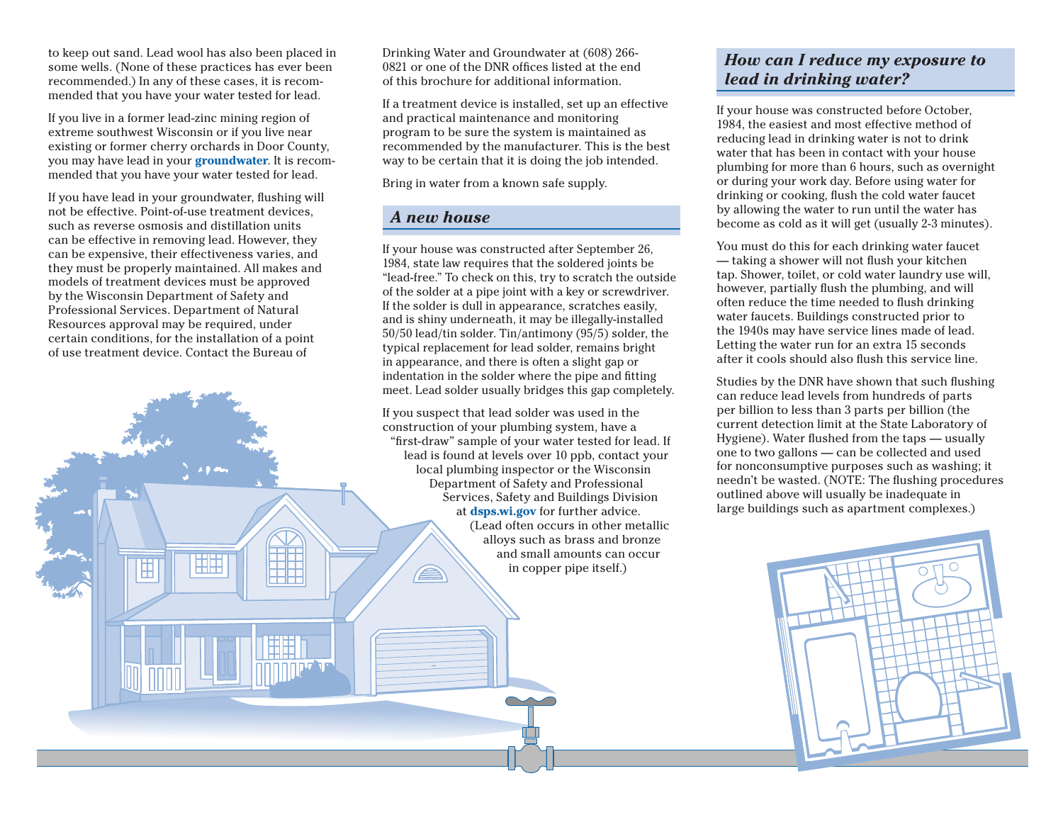to keep out sand. Lead wool has also been placed in some wells. (None of these practices has ever been recommended.) In any of these cases, it is recommended that you have your water tested for lead.

If you live in a former lead-zinc mining region of extreme southwest Wisconsin or if you live near existing or former cherry orchards in Door County, you may have lead in your **groundwater**. It is recommended that you have your water tested for lead.

If you have lead in your groundwater, flushing will not be effective. Point-of-use treatment devices, such as reverse osmosis and distillation units can be effective in removing lead. However, they can be expensive, their effectiveness varies, and they must be properly maintained. All makes and models of treatment devices must be approved by the Wisconsin Department of Safety and Professional Services. Department of Natural Resources approval may be required, under certain conditions, for the installation of a point of use treatment device. Contact the Bureau of

HH

峀

Drinking Water and Groundwater at (608) 266- 0821 or one of the DNR offices listed at the end of this brochure for additional information.

If a treatment device is installed, set up an effective and practical maintenance and monitoring program to be sure the system is maintained as recommended by the manufacturer. This is the best way to be certain that it is doing the job intended.

Bring in water from a known safe supply.

#### *A new house*

If your house was constructed after September 26, 1984, state law requires that the soldered joints be "lead-free." To check on this, try to scratch the outside of the solder at a pipe joint with a key or screwdriver. If the solder is dull in appearance, scratches easily, and is shiny underneath, it may be illegally-installed 50/50 lead/tin solder. Tin/antimony (95/5) solder, the typical replacement for lead solder, remains bright in appearance, and there is often a slight gap or indentation in the solder where the pipe and fitting meet. Lead solder usually bridges this gap completely.

If you suspect that lead solder was used in the construction of your plumbing system, have a "first-draw" sample of your water tested for lead. If lead is found at levels over 10 ppb, contact your local plumbing inspector or the Wisconsin Department of Safety and Professional Services, Safety and Buildings Division at**<dsps.wi.gov>** for further advice. (Lead often occurs in other metallic alloys such as brass and bronze and small amounts can occur in copper pipe itself.)

## *How can I reduce my exposure to lead in drinking water?*

If your house was constructed before October, 1984, the easiest and most effective method of reducing lead in drinking water is not to drink water that has been in contact with your house plumbing for more than 6 hours, such as overnight or during your work day. Before using water for drinking or cooking, flush the cold water faucet by allowing the water to run until the water has become as cold as it will get (usually 2-3 minutes).

You must do this for each drinking water faucet — taking a shower will not flush your kitchen tap. Shower, toilet, or cold water laundry use will, however, partially flush the plumbing, and will often reduce the time needed to flush drinking water faucets. Buildings constructed prior to the 1940s may have service lines made of lead. Letting the water run for an extra 15 seconds after it cools should also flush this service line.

Studies by the DNR have shown that such flushing can reduce lead levels from hundreds of parts per billion to less than 3 parts per billion (the current detection limit at the State Laboratory of Hygiene). Water flushed from the taps — usually one to two gallons — can be collected and used for nonconsumptive purposes such as washing; it needn't be wasted. (NOTE: The flushing procedures outlined above will usually be inadequate in large buildings such as apartment complexes.)